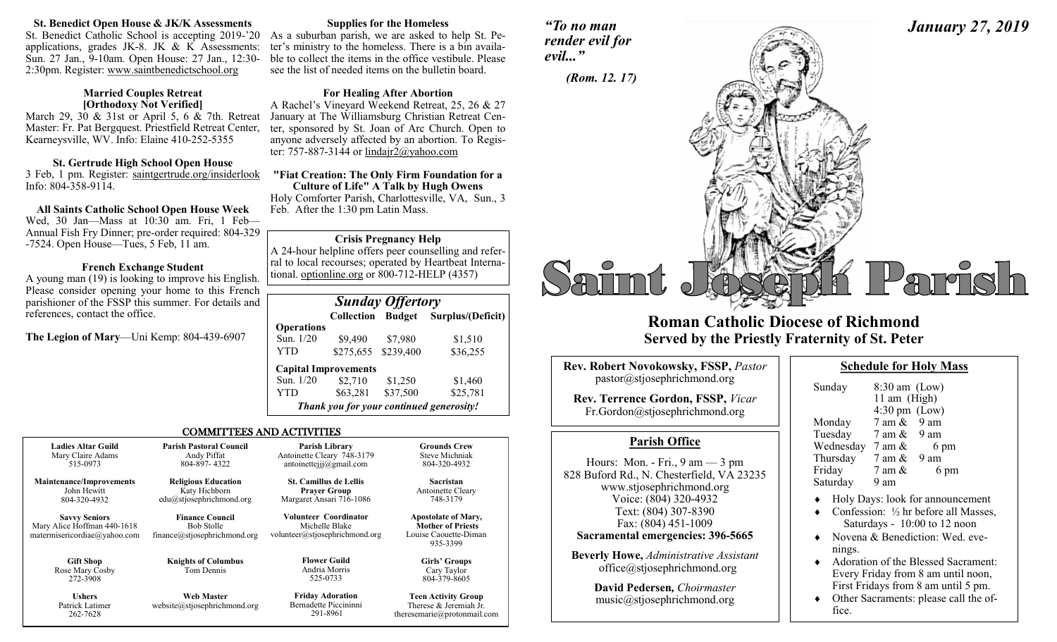### **St. Benedict Open House & JK/K Assessments**

St. Benedict Catholic School is accepting 2019-'20 As a suburban parish, we are asked to help St. Peapplications, grades JK-8. JK  $& K$  Assessments: Sun. 27 Jan., 9-10am. Open House: 27 Jan., 12:30- 2:30pm. Register: www.saintbenedictschool.org

#### **Married Couples Retreat [Orthodoxy Not Verified]**

March 29, 30 & 31st or April 5, 6 & 7th. Retreat Master: Fr. Pat Bergquest. Priestfield Retreat Center, Kearneysville, WV. Info: Elaine 410-252-5355

# **St. Gertrude High School Open House**

3 Feb, 1 pm. Register: saintgertrude.org/insiderlook Info: 804-358-9114.

# **All Saints Catholic School Open House Week**

Wed, 30 Jan—Mass at 10:30 am. Fri, 1 Feb— Annual Fish Fry Dinner; pre-order required: 804-329 -7524. Open House—Tues, 5 Feb, 11 am.

# **French Exchange Student**

A young man (19) is looking to improve his English. Please consider opening your home to this French parishioner of the FSSP this summer. For details and references, contact the office.

**The Legion of Mary**—Uni Kemp: 804-439-6907

262-7628

# **Supplies for the Homeless**

ter's ministry to the homeless. There is a bin available to collect the items in the office vestibule. Please see the list of needed items on the bulletin board.

# **For Healing After Abortion**

A Rachel's Vineyard Weekend Retreat, 25, 26 & 27 January at The Williamsburg Christian Retreat Center, sponsored by St. Joan of Arc Church. Open to anyone adversely affected by an abortion. To Register: 757-887-3144 or lindajr2@yahoo.com

**"Fiat Creation: The Only Firm Foundation for a Culture of Life" A Talk by Hugh Owens** Holy Comforter Parish, Charlottesville, VA, Sun., 3 Feb. After the 1:30 pm Latin Mass.

# **Crisis Pregnancy Help**

A 24-hour helpline offers peer counselling and referral to local recourses; operated by Heartbeat International. optionline.org or 800-712-HELP (4357)

|                   | <b>Sunday Offertory</b>                  |           |                                     |
|-------------------|------------------------------------------|-----------|-------------------------------------|
|                   |                                          |           | Collection Budget Surplus/(Deficit) |
| <b>Operations</b> |                                          |           |                                     |
| Sun. 1/20         | \$9,490                                  | \$7,980   | \$1,510                             |
| YTD               | \$275,655                                | \$239,400 | \$36,255                            |
|                   | <b>Capital Improvements</b>              |           |                                     |
| Sun. 1/20         | \$2,710                                  | \$1,250   | \$1,460                             |
| YTD               | \$63,281                                 | \$37,500  | \$25,781                            |
|                   | Thank you for your continued generosity! |           |                                     |

theresemarie@protonmail.com

# COMMITTEES AND ACTIVITIES

| <b>Ladies Altar Guild</b>                                                           | <b>Parish Pastoral Council</b>                                              | <b>Parish Library</b>                                                     | <b>Grounds Crew</b>                                                                         |
|-------------------------------------------------------------------------------------|-----------------------------------------------------------------------------|---------------------------------------------------------------------------|---------------------------------------------------------------------------------------------|
| Mary Claire Adams                                                                   | Andy Piffat                                                                 | Antoinette Cleary 748-3179                                                | <b>Steve Michniak</b>                                                                       |
| 515-0973                                                                            | 804-897-4322                                                                | antoinetteijj $@g$ mail.com                                               | 804-320-4932                                                                                |
| <b>Maintenance/Improvements</b>                                                     | <b>Religious Education</b>                                                  | <b>St. Camillus de Lellis</b>                                             | <b>Sacristan</b>                                                                            |
| John Hewitt                                                                         | Katy Hichborn                                                               | <b>Praver Group</b>                                                       | Antoinette Cleary                                                                           |
| 804-320-4932                                                                        | edu@stjosephrichmond.org                                                    | Margaret Ansari 716-1086                                                  | 748-3179                                                                                    |
| <b>Savvy Seniors</b><br>Mary Alice Hoffman 440-1618<br>matermisericordiae@yahoo.com | <b>Finance Council</b><br><b>Bob Stolle</b><br>finance@stjosephrichmond.org | Volunteer Coordinator<br>Michelle Blake<br>volunteer@stjosephrichmond.org | <b>Apostolate of Mary,</b><br><b>Mother of Priests</b><br>Louise Caouette-Diman<br>935-3399 |
| <b>Gift Shop</b><br>Rose Mary Cosby<br>272-3908                                     | <b>Knights of Columbus</b><br>Tom Dennis                                    | <b>Flower Guild</b><br>Andria Morris<br>525-0733                          | <b>Girls' Groups</b><br>Cary Taylor<br>804-379-8605                                         |
| <b>Ushers</b>                                                                       | <b>Web Master</b>                                                           | <b>Friday Adoration</b>                                                   | <b>Teen Activity Group</b>                                                                  |
| Patrick Latimer                                                                     | website@stjosephrichmond.org                                                | Bernadette Piccininni                                                     | Therese & Jeremiah Jr.                                                                      |

291-8961

*"To no man render evil for evil..."*



# **Roman Catholic Diocese of Richmond Served by the Priestly Fraternity of St. Peter**

| <b>Rev. Robert Novokowsky, FSSP, Pastor</b><br>pastor@stjosephrichmond.org |
|----------------------------------------------------------------------------|
| Rev. Terrence Gordon, FSSP, Vicar<br>Fr.Gordon@stjosephrichmond.org        |

# **Parish Office**

Hours: Mon. - Fri., 9 am — 3 pm 828 Buford Rd., N. Chesterfield, VA 23235 www.stjosephrichmond.org Voice: (804) 320-4932 Text: (804) 307-8390 Fax: (804) 451-1009 **Sacramental emergencies: 396-5665**

**Beverly Howe,** *Administrative Assistant* office@stjosephrichmond.org

> **David Pedersen***, Choirmaster* music@stjosephrichmond.org

*January 27, 2019*

| Sunday    | $8:30$ am (Low)<br>11 am (High)<br>$4:30 \text{ pm}$ (Low) |      |
|-----------|------------------------------------------------------------|------|
|           |                                                            |      |
| Monday    | $7 \text{ am } \& 9 \text{ am}$                            |      |
| Tuesday   | 7 am &                                                     | 9 am |
| Wednesday | 7 am &                                                     | 6 pm |
| Thursday  | 7 am &                                                     | 9 am |
| Friday    | 7 am &                                                     | 6 pm |
| Saturday  | 9 am                                                       |      |

- Holy Days: look for announcement
- $\bullet$  Confession:  $\frac{1}{2}$  hr before all Masses. Saturdays - 10:00 to 12 noon
- Novena & Benediction: Wed. evenings.
- ◆ Adoration of the Blessed Sacrament: Every Friday from 8 am until noon, First Fridays from 8 am until 5 pm.
- Other Sacraments: please call the office.